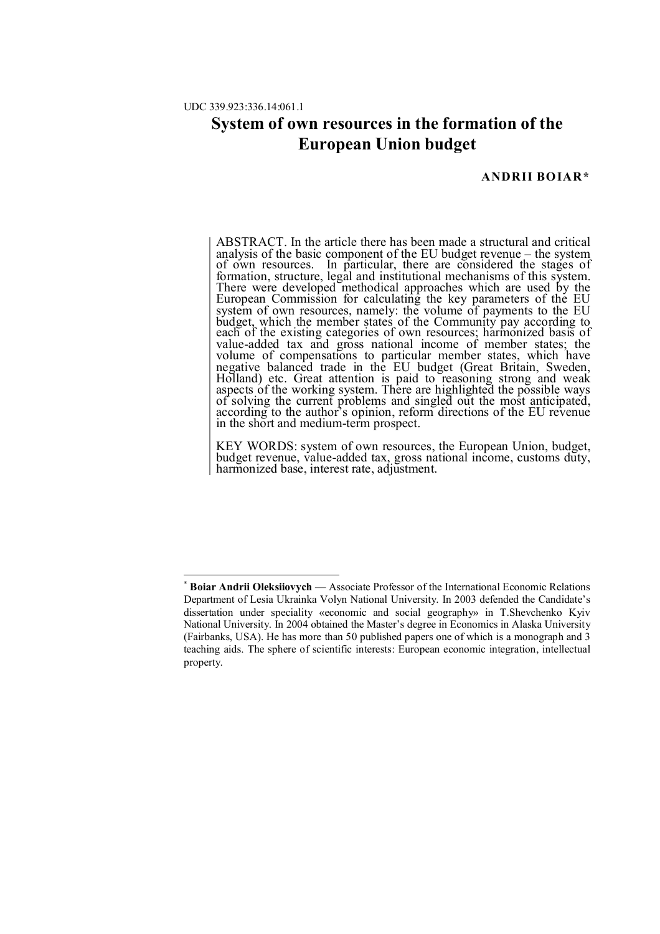-

## **System of own resources in the formation of the European Union budget**

## **ANDRII BOIAR\***

ABSTRACT. In the article there has been made a structural and critical analysis of the basic component of the EU budget revenue – the system of own resources. In particular, there are considered the stages of formation, structure, legal and institutional mechanisms of this system. There were developed methodical approaches which are used by the European Commission for calculating the key parameters of the EU system of own resources, namely: the volume of payments to the EU budget, which the member states of the Community pay according to each of the existing categories of own resources; harmonized basis of value-added tax and gross national income of member states; the volume of compensations to particular member states, which have negative balanced trade in the EU budget (Great Britain, Sweden, Holland) etc. Great attention is paid to reasoning strong and weak aspects of the working system. There are highlighted the possible ways of solving the current problems and singled out the most anticipated, according to the author's opinion, reform directions of the EU revenue in the short and medium-term prospect.

KEY WORDS: system of own resources, the European Union, budget, budget revenue, value-added tax, gross national income, customs duty, harmonized base, interest rate, adjustment.

<sup>\*</sup> **Boiar Andrii Oleksiiovych** — Associate Professor of the International Economic Relations Department of Lesia Ukrainka Volyn National University. In 2003 defended the Candidate's dissertation under speciality «economic and social geography» in T.Shevchenko Kyiv National University. In 2004 obtained the Master's degree in Economics in Alaska University (Fairbanks, USA). He has more than 50 published papers one of which is a monograph and 3 teaching aids. The sphere of scientific interests: European economic integration, intellectual property.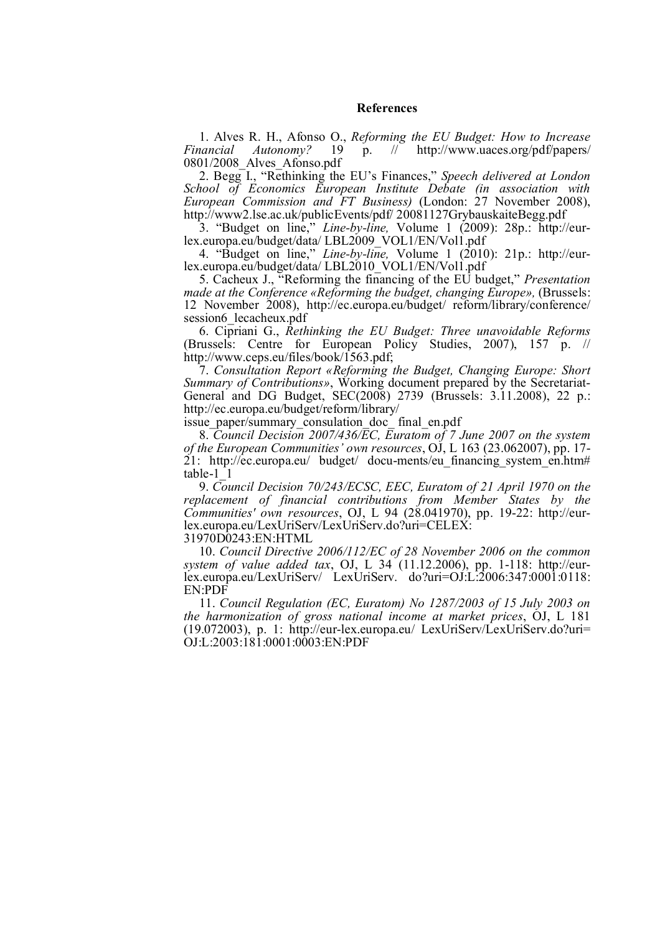## **References**

1. Alves R. H., Afonso O., *Reforming the EU Budget: How to Increase Financial Autonomy?* 19 p. //<sup>-</sup> http://www.uaces.org/pdf/papers/ 0801/2008\_Alves\_Afonso.pdf

2. Begg I., "Rethinking the EU's Finances," *Speech delivered at London School of Economics European Institute Debate (in association with European Commission and FT Business)* (London: 27 November 2008), http://www2.lse.ac.uk/publicEvents/pdf/ 20081127GrybauskaiteBegg.pdf

3. "Budget on line," *Line-by-line,* Volume 1 (2009): 28p.: http://eurlex.europa.eu/budget/data/ LBL2009\_VOL1/EN/Vol1.pdf

4. "Budget on line," *Line-by-line,* Volume 1 (2010): 21p.: http://eurlex.europa.eu/budget/data/ LBL2010\_VOL1/EN/Vol1.pdf

5. Cacheux J., "Reforming the financing of the EU budget," *Presentation made at the Conference «Reforming the budget, changing Europe», (Brussels:* 12 November 2008), http://ec.europa.eu/budget/ reform/library/conference/ session6\_lecacheux.pdf

6. Cipriani G., *Rethinking the EU Budget: Three unavoidable Reforms* (Brussels: Centre for European Policy Studies, 2007), 157 p. // http://www.ceps.eu/files/book/1563.pdf;

7. *Consultation Report «Reforming the Budget, Changing Europe: Short Summary of Contributions»*, Working document prepared by the Secretariat-General and DG Budget, SEC(2008) 2739 (Brussels: 3.11.2008), 22 p.: http://ec.europa.eu/budget/reform/library/

issue paper/summary consulation doc final en.pdf

8. *Council Decision 2007/436/EC, Euratom of 7 June 2007 on the system of the European Communities' own resources*, OJ, L 163 (23.062007), pp. 17- 21: http://ec.europa.eu/ budget/ docu-ments/eu financing system en.htm# table-1\_1

9. *Council Decision 70/243/ECSC, EEC, Euratom of 21 April 1970 on the replacement of financial contributions from Member States by the Communities' own resources*, OJ, L 94 (28.041970), pp. 19-22: http://eurlex.europa.eu/LexUriServ/LexUriServ.do?uri=CELEX:

31970D0243:EN:HTML

10. *Council Directive 2006/112/EC of 28 November 2006 on the common system of value added tax*, OJ, L 34 (11.12.2006), pp. 1-118: http://eurlex.europa.eu/LexUriServ/ LexUriServ. do?uri=OJ:L:2006:347:0001:0118: EN:PDF

11. *Council Regulation (EC, Euratom) No 1287/2003 of 15 July 2003 on the harmonization of gross national income at market prices*, OJ, L 181 (19.072003), p. 1: http://eur-lex.europa.eu/ LexUriServ/LexUriServ.do?uri= OJ:L:2003:181:0001:0003:EN:PDF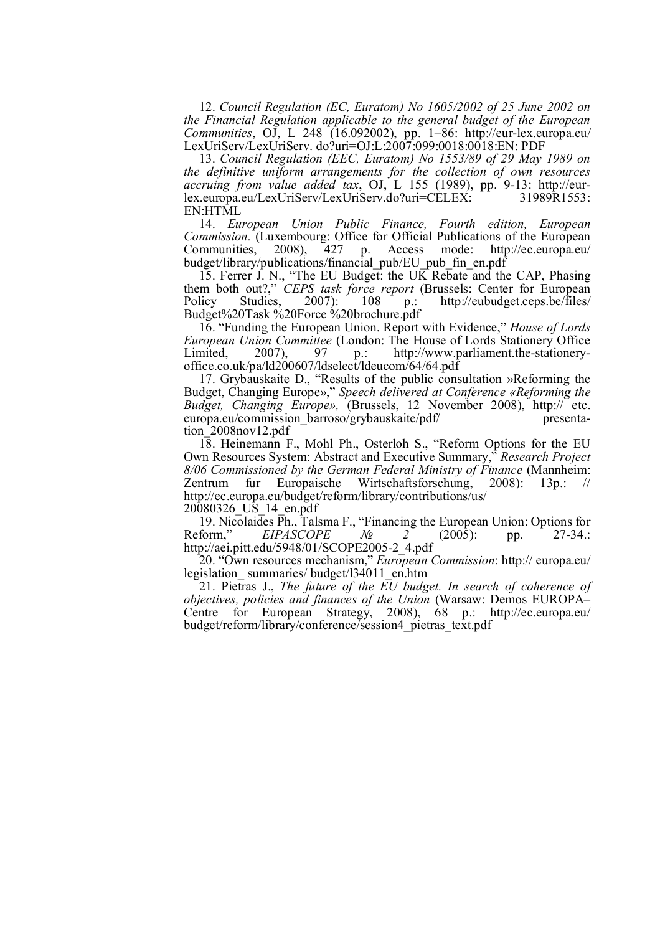12. *Council Regulation (EC, Euratom) No 1605/2002 of 25 June 2002 on the Financial Regulation applicable to the general budget of the European Communities*, OJ, L 248 (16.092002), pp. 1–86: http://eur-lex.europa.eu/ LexUriServ/LexUriServ. do?uri=OJ:L:2007:099:0018:0018:EN: PDF

13. *Council Regulation (EEC, Euratom) No 1553/89 of 29 May 1989 on the definitive uniform arrangements for the collection of own resources accruing from value added tax*, OJ, L 155 (1989), pp. 9-13: http://eurlex.europa.eu/LexUriServ/LexUriServ.do?uri=CELEX: 31989R1553: EN:HTML

14. *European Union Public Finance, Fourth edition, European Commission.* (Luxembourg: Office for Official Publications of the European Communities, 2008), 427 p. Access mode: http://ec.europa.eu/ p. Access mode: http://ec.europa.eu/ budget/library/publications/financial\_pub/EU\_pub\_fin\_en.pdf

15. Ferrer J. N., "The EU Budget: the UK Rebate and the CAP, Phasing them both out?," *CEPS task force report* (Brussels: Center for European Policy Studies, 2007): 108 p.: http://eubudget.ceps.be/files/ Policy Studies, 2007): 108 p.: http://eubudget.ceps.be/files/ Budget%20Task %20Force %20brochure.pdf

16. "Funding the European Union. Report with Evidence," *House of Lords European Union Committee* (London: The House of Lords Stationery Office Limited, 2007), 97 p.: http://www.parliament.the-stationery-Limited, 2007), 97 p.: http://www.parliament.the-stationeryoffice.co.uk/pa/ld200607/ldselect/ldeucom/64/64.pdf

17. Grybauskaite D., "Results of the public consultation »Reforming the Budget, Changing Europe»," *Speech delivered at Conference «Reforming the Budget, Changing Europe»,* (Brussels, 12 November 2008), http:// etc. europa.eu/commission\_barroso/grybauskaite/pdf/ presentation\_2008nov12.pdf

18. Heinemann F., Mohl Ph., Osterloh S., "Reform Options for the EU Own Resources System: Abstract and Executive Summary," *Research Project 8/06 Commissioned by the German Federal Ministry of Finance* (Mannheim: Zentrum fur Europaische Wirtschaftsforschung, 2008): 13p.: // http://ec.europa.eu/budget/reform/library/contributions/us/

20080326\_US\_14\_en.pdf

19. Nicolaides Ph., Talsma F., "Financing the European Union: Options for Reform," EIPASCOPE  $N_2$  (2005): pp. 27-34.: *EIPASCOPE №* 2<sup></sup> (2005): pp. 27-34.: http://aei.pitt.edu/5948/01/SCOPE2005-2\_4.pdf

20. "Own resources mechanism," *European Commission*: http:// europa.eu/ legislation\_ summaries/ budget/l34011\_en.htm

21. Pietras J., *The future of the EU budget. In search of coherence of objectives, policies and finances of the Union* (Warsaw: Demos EUROPA– Centre for European Strategy, 2008), 68 p.: http://ec.europa.eu/ budget/reform/library/conference/session4\_pietras\_text.pdf